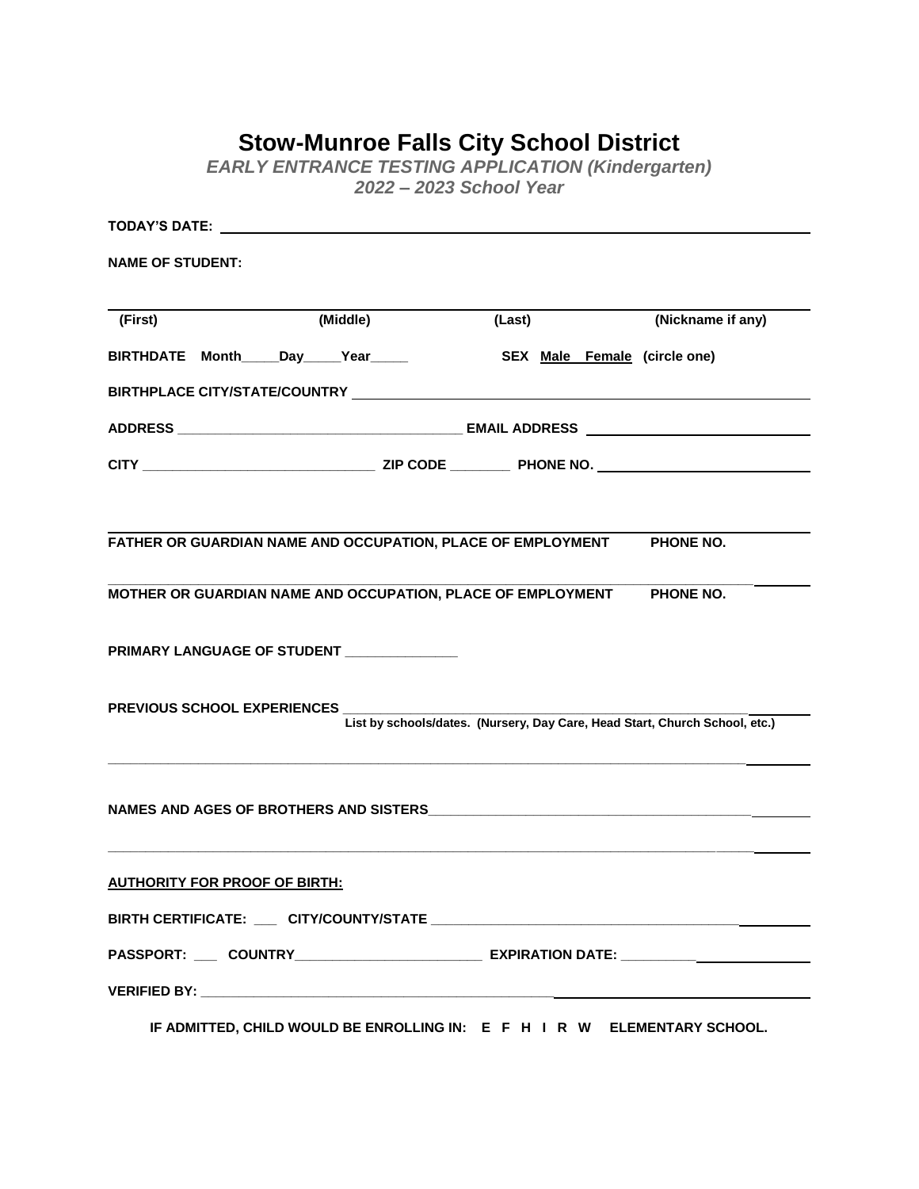## **Stow-Munroe Falls City School District**

*EARLY ENTRANCE TESTING APPLICATION (Kindergarten) 2022 – 2023 School Year*

| TODAY'S DATE: New York Date: New York Date: New York Date: New York Date: New York Date: New York Date: New York Date: New York Date: New York Date: New York Date: New York Date: New York Date: New York Date: New York Date |                                                                                                                |                              |                                                                                                      |  |
|--------------------------------------------------------------------------------------------------------------------------------------------------------------------------------------------------------------------------------|----------------------------------------------------------------------------------------------------------------|------------------------------|------------------------------------------------------------------------------------------------------|--|
| <b>NAME OF STUDENT:</b>                                                                                                                                                                                                        |                                                                                                                |                              |                                                                                                      |  |
| (First)                                                                                                                                                                                                                        | (Middle)                                                                                                       | (Last)                       | (Nickname if any)                                                                                    |  |
|                                                                                                                                                                                                                                | BIRTHDATE Month_____Day_____Year_____                                                                          | SEX Male Female (circle one) |                                                                                                      |  |
|                                                                                                                                                                                                                                |                                                                                                                |                              |                                                                                                      |  |
|                                                                                                                                                                                                                                |                                                                                                                |                              |                                                                                                      |  |
|                                                                                                                                                                                                                                |                                                                                                                |                              |                                                                                                      |  |
|                                                                                                                                                                                                                                | FATHER OR GUARDIAN NAME AND OCCUPATION, PLACE OF EMPLOYMENT PHONE NO.                                          |                              |                                                                                                      |  |
|                                                                                                                                                                                                                                | MOTHER OR GUARDIAN NAME AND OCCUPATION, PLACE OF EMPLOYMENT PHONE NO.                                          |                              |                                                                                                      |  |
|                                                                                                                                                                                                                                | PRIMARY LANGUAGE OF STUDENT NAMES AND RESERVE TO A STREET AND RESERVE TO A STREET A STREET AND RESERVE TO A ST |                              |                                                                                                      |  |
|                                                                                                                                                                                                                                | PREVIOUS SCHOOL EXPERIENCES __________________                                                                 |                              | List by schools/dates. (Nursery, Day Care, Head Start, Church School, etc.)                          |  |
|                                                                                                                                                                                                                                |                                                                                                                |                              |                                                                                                      |  |
| <b>AUTHORITY FOR PROOF OF BIRTH:</b>                                                                                                                                                                                           |                                                                                                                |                              |                                                                                                      |  |
|                                                                                                                                                                                                                                |                                                                                                                |                              | BIRTH CERTIFICATE: CITY/COUNTY/STATE                                                                 |  |
|                                                                                                                                                                                                                                |                                                                                                                |                              | PASSPORT: _____ COUNTRY_________________________________EXPIRATION DATE: ___________________________ |  |
|                                                                                                                                                                                                                                |                                                                                                                |                              |                                                                                                      |  |

**IF ADMITTED, CHILD WOULD BE ENROLLING IN: E F H I R W ELEMENTARY SCHOOL.**